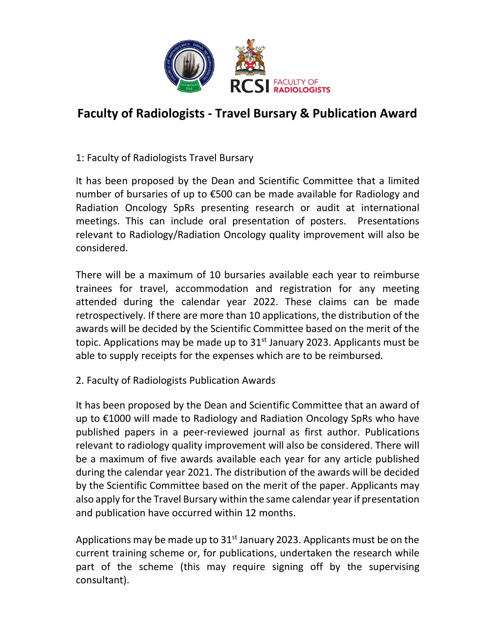

# Faculty of Radiologists - Travel Bursary & Publication Award

1: Faculty of Radiologists Travel Bursary

It has been proposed by the Dean and Scientific Committee that a limited number of bursaries of up to €500 can be made available for Radiology and Radiation Oncology SpRs presenting research or audit at international meetings. This can include oral presentation of posters. Presentations relevant to Radiology/Radiation Oncology quality improvement will also be considered.

There will be a maximum of 10 bursaries available each year to reimburse trainees for travel, accommodation and registration for any meeting attended during the calendar year 2022. These claims can be made retrospectively. If there are more than 10 applications, the distribution of the awards will be decided by the Scientific Committee based on the merit of the topic. Applications may be made up to  $31<sup>st</sup>$  January 2023. Applicants must be able to supply receipts for the expenses which are to be reimbursed.

2. Faculty of Radiologists Publication Awards

It has been proposed by the Dean and Scientific Committee that an award of up to €1000 will made to Radiology and Radiation Oncology SpRs who have published papers in a peer-reviewed journal as first author. Publications relevant to radiology quality improvement will also be considered. There will be a maximum of five awards available each year for any article published during the calendar year 2021. The distribution of the awards will be decided by the Scientific Committee based on the merit of the paper. Applicants may also apply for the Travel Bursary within the same calendar year if presentation and publication have occurred within 12 months.

Applications may be made up to  $31<sup>st</sup>$  January 2023. Applicants must be on the current training scheme or, for publications, undertaken the research while part of the scheme (this may require signing off by the supervising consultant).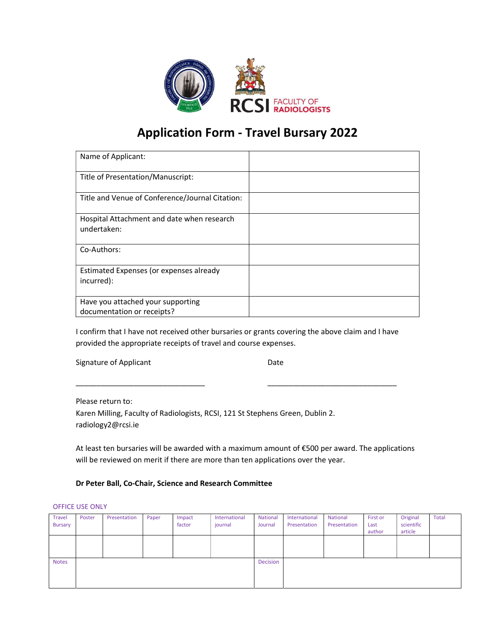

# Application Form - Travel Bursary 2022

| Name of Applicant:                                              |  |
|-----------------------------------------------------------------|--|
| Title of Presentation/Manuscript:                               |  |
| Title and Venue of Conference/Journal Citation:                 |  |
| Hospital Attachment and date when research<br>undertaken:       |  |
| Co-Authors:                                                     |  |
| Estimated Expenses (or expenses already<br>incurred):           |  |
| Have you attached your supporting<br>documentation or receipts? |  |

I confirm that I have not received other bursaries or grants covering the above claim and I have provided the appropriate receipts of travel and course expenses.

\_\_\_\_\_\_\_\_\_\_\_\_\_\_\_\_\_\_\_\_\_\_\_\_\_\_\_\_\_\_\_ \_\_\_\_\_\_\_\_\_\_\_\_\_\_\_\_\_\_\_\_\_\_\_\_\_\_\_\_\_\_\_

Signature of Applicant Date

Please return to: Karen Milling, Faculty of Radiologists, RCSI, 121 St Stephens Green, Dublin 2. radiology2@rcsi.ie

At least ten bursaries will be awarded with a maximum amount of €500 per award. The applications will be reviewed on merit if there are more than ten applications over the year.

### Dr Peter Ball, Co-Chair, Science and Research Committee

#### OFFICE USE ONLY

| <b>Travel</b><br><b>Bursary</b> | Poster | Presentation | Paper | Impact<br>factor | International<br>journal | National<br>Journal | International<br>Presentation | National<br>Presentation | First or<br>Last<br>author | Original<br>scientific<br>article | <b>Total</b> |
|---------------------------------|--------|--------------|-------|------------------|--------------------------|---------------------|-------------------------------|--------------------------|----------------------------|-----------------------------------|--------------|
|                                 |        |              |       |                  |                          |                     |                               |                          |                            |                                   |              |
| <b>Notes</b>                    |        |              |       |                  |                          | Decision            |                               |                          |                            |                                   |              |